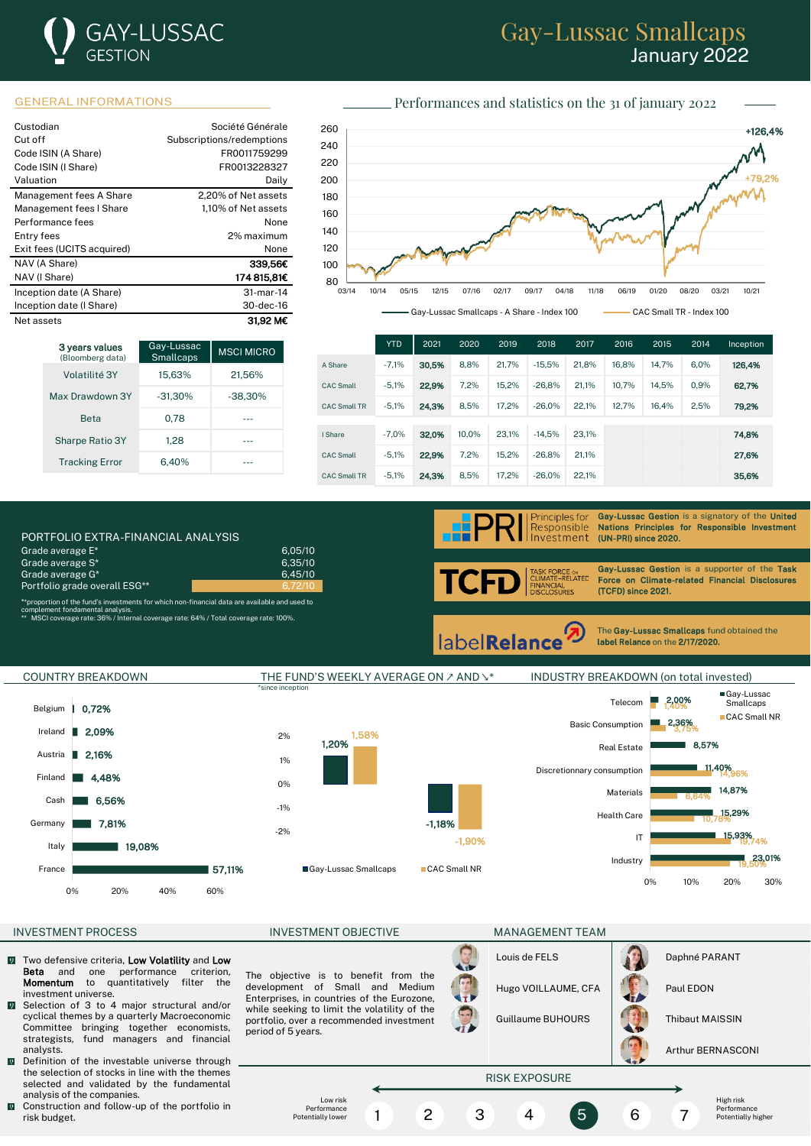# **GAY-LUSSAC GESTION**

## Gay-Lussac Smallcaps January 2022

### GENERAL INFORMATIONS **Performances** and statistics on the 31 of january 2022

| Custodian<br>Cut off<br>Code ISIN (A Share)<br>Code ISIN (I Share)<br>Valuation | Société Générale<br>Subscriptions/redemptions<br>FR0011759299<br>FR0013228327<br>Daily |
|---------------------------------------------------------------------------------|----------------------------------------------------------------------------------------|
| Management fees A Share                                                         | 2.20% of Net assets                                                                    |
| Management fees I Share                                                         | 1.10% of Net assets                                                                    |
| Performance fees                                                                | None                                                                                   |
| Entry fees                                                                      | 2% maximum                                                                             |
| Exit fees (UCITS acquired)                                                      | None                                                                                   |
| NAV (A Share)                                                                   | 339.56C                                                                                |
| NAV (I Share)                                                                   | 174 815,81€                                                                            |
| Inception date (A Share)                                                        | 31-mar-14                                                                              |
| Inception date (I Share)                                                        | 30-dec-16                                                                              |
| Net assets                                                                      | 31.92 MC                                                                               |

| 3 years values<br>(Bloomberg data) | Gay-Lussac<br><b>Smallcaps</b> | <b>MSCI MICRO</b> |
|------------------------------------|--------------------------------|-------------------|
| Volatilité 3Y                      | 15.63%                         | 21.56%            |
| Max Drawdown 3Y                    | $-31.30\%$                     | $-38.30%$         |
| <b>Reta</b>                        | 0.78                           |                   |
| <b>Sharpe Ratio 3Y</b>             | 1.28                           |                   |
| <b>Tracking Error</b>              | 6.40%                          |                   |



|                     | <b>YTD</b> | 2021  | 2020  | 2019  | 2018     | 2017  | 2016  | 2015  | 2014 | Inception |
|---------------------|------------|-------|-------|-------|----------|-------|-------|-------|------|-----------|
| A Share             | $-7.1%$    | 30,5% | 8.8%  | 21.7% | $-15.5%$ | 21.8% | 16.8% | 14.7% | 6.0% | 126.4%    |
| <b>CAC Small</b>    | $-5.1%$    | 22,9% | 7.2%  | 15.2% | $-26.8%$ | 21.1% | 10.7% | 14.5% | 0.9% | 62.7%     |
| <b>CAC Small TR</b> | $-5.1%$    | 24,3% | 8.5%  | 17.2% | $-26.0%$ | 22.1% | 12.7% | 16.4% | 2.5% | 79,2%     |
|                     |            |       |       |       |          |       |       |       |      |           |
| I Share             | $-7.0%$    | 32.0% | 10.0% | 23.1% | $-14.5%$ | 23.1% |       |       |      | 74.8%     |
| <b>CAC Small</b>    | $-5.1%$    | 22.9% | 7.2%  | 15.2% | $-26.8%$ | 21.1% |       |       |      | 27,6%     |
| <b>CAC Small TR</b> | $-5.1%$    | 24.3% | 8.5%  | 17.2% | $-26.0%$ | 22.1% |       |       |      | 35,6%     |

PORTFOLIO EXTRA-FINANCIAL ANALYSIS (UNI-PRI) since 2020. The 2020 September 2020. The 2020 September 2020. The 2020 September 2020. The 2020 September 2020. The 2020 September 2020. The 2020 September 2020 September 2020 S Grade average E\* 6,05/10<br>Grade average S\* 6,05/10<br>Grade average S\* Grade average S\* 6,35/10<br>Grade average G\* 1990 1990 1991 1992 1994 1995/10 Grade average G\* Portfolio grade overall ESG\*\*

\*\*proportion of the fund's investments for which non-financial data are available and used to

complement fondamental analysis. \*\* MSCI coverage rate: 36% / Internal coverage rate: 64% / Total coverage rate: 100%.



Gay-Lussac Gestion is a signatory of the United Nations Principles for Responsible Investment<br>(UN-PRI) since 2020.

RCE ⊙N<br>−RELATED∶ TCI FL IANCIAL<br>¡CLOSURES

Gay-Lussac Gestion is a supporter of the Task Force on Climate-related Financial Disclosures (TCFD) since 2021.

**labelRelance** 

The Gay-Lussac Smallcaps fund obtained the label Relance on the 2/17/2020.

l



#### INVESTMENT PROCESS INVESTMENT OBJECTIVE MANAGEMENT TEAM

- $\sqrt{2}$ Two defensive criteria, **Low Volatility** and Low<br> **Beta** and one performance criterion. Beta and one performance criterion,<br>**Momentum** to quantitatively filter the to quantitatively investment universe.
- Selection of 3 to 4 major structural and/or cyclical themes by a quarterly Macroeconomic Committee bringing together economists, strategists, fund managers and financial analysts.
- Definition of the investable universe through  $\overline{\mathbf{Q}}$ the selection of stocks in line with the themes selected and validated by the fundamental analysis of the companies.
- **Q** Construction and follow-up of the portfolio in risk budget.

The objective is to benefit from the development of Small and Medium Enterprises, in countries of the Eurozone, while seeking to limit the volatility of the portfolio, over a recommended investment period of 5 years.

> Low risk Performance Potentially lower



Guillaume BUHOURS | Thibaut MAISSIN

RISK EXPOSURE

1 2 3 4 5 6 7



Arthur BERNASCONI

High risk Performance Potentially higher